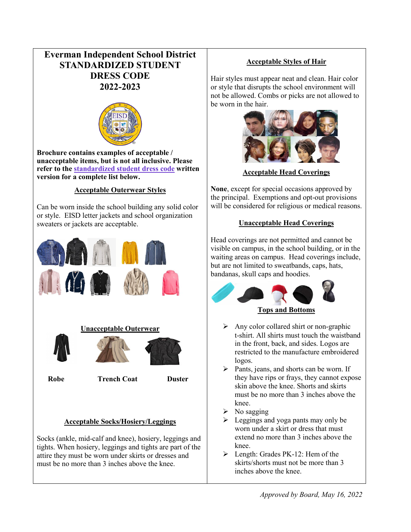# **Everman Independent School District STANDARDIZED STUDENT DRESS CODE 2022-2023**



**Brochure contains examples of acceptable / unacceptable items, but is not all inclusive. Please refer to the [standardized student dress code](http://everman.schoolfusion.us/modules/cms/pages.phtml?pageid=230421) written version for a complete list below.**

### **Acceptable Outerwear Styles**

Can be worn inside the school building any solid color or style. EISD letter jackets and school organization sweaters or jackets are acceptable.



Socks (ankle, mid-calf and knee), hosiery, leggings and tights. When hosiery, leggings and tights are part of the attire they must be worn under skirts or dresses and must be no more than 3 inches above the knee.

## **Acceptable Styles of Hair**

Hair styles must appear neat and clean. Hair color or style that disrupts the school environment will not be allowed. Combs or picks are not allowed to be worn in the hair.



**Acceptable Head Coverings**

**None**, except for special occasions approved by the principal. Exemptions and opt-out provisions will be considered for religious or medical reasons.

### **Unacceptable Head Coverings**

Head coverings are not permitted and cannot be visible on campus, in the school building, or in the waiting areas on campus. Head coverings include, but are not limited to sweatbands, caps, hats, bandanas, skull caps and hoodies.



- $\triangleright$  Any color collared shirt or non-graphic t-shirt. All shirts must touch the waistband in the front, back, and sides. Logos are restricted to the manufacture embroidered logos.
- $\triangleright$  Pants, jeans, and shorts can be worn. If they have rips or frays, they cannot expose skin above the knee. Shorts and skirts must be no more than 3 inches above the knee.
- $\triangleright$  No sagging
- $\triangleright$  Leggings and yoga pants may only be worn under a skirt or dress that must extend no more than 3 inches above the knee.
- $\triangleright$  Length: Grades PK-12: Hem of the skirts/shorts must not be more than 3 inches above the knee.